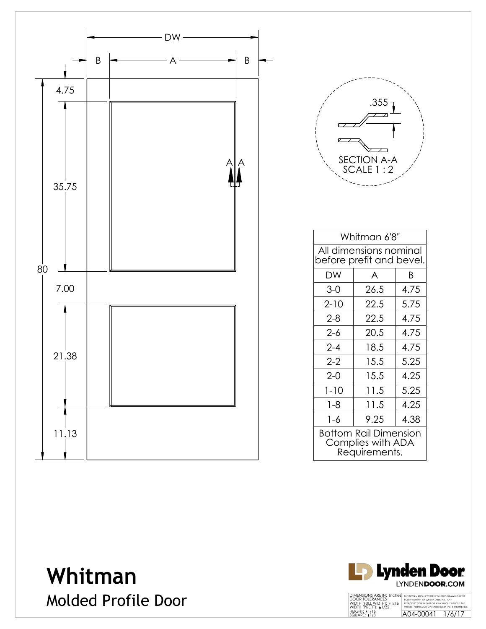



| Whitman 6'8"                                                |      |      |  |  |
|-------------------------------------------------------------|------|------|--|--|
|                                                             |      |      |  |  |
| All dimensions nominal                                      |      |      |  |  |
| before prefit and bevel.                                    |      |      |  |  |
| DW                                                          | A    | B    |  |  |
| $3-0$                                                       | 26.5 | 4.75 |  |  |
| $2 - 10$                                                    | 22.5 | 5.75 |  |  |
| $2 - 8$                                                     | 22.5 | 4.75 |  |  |
| $2 - 6$                                                     | 20.5 | 4.75 |  |  |
| $2 - 4$                                                     | 18.5 | 4.75 |  |  |
| $2 - 2$                                                     | 15.5 | 5.25 |  |  |
| $2 - 0$                                                     | 15.5 | 4.25 |  |  |
| $1 - 10$                                                    | 11.5 | 5.25 |  |  |
| $1 - 8$                                                     | 11.5 | 4.25 |  |  |
| $1 - 6$                                                     | 9.25 | 4.38 |  |  |
| Bottom Rail Dimension<br>Complies with ADA<br>Requirements. |      |      |  |  |

**Whitman** Molded Profile Door

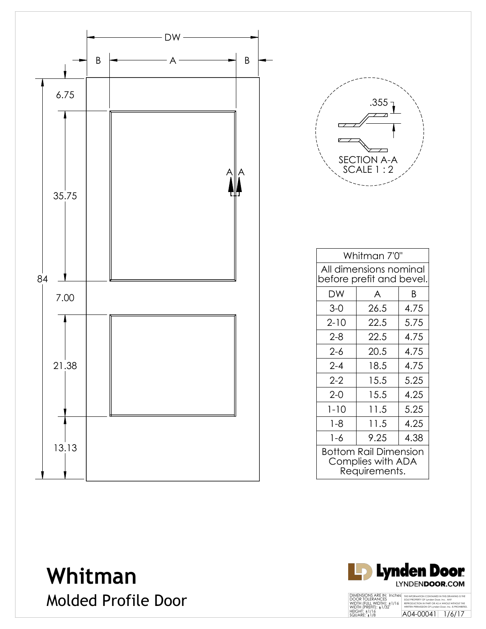



| Whitman 7'0"                                                |      |      |  |
|-------------------------------------------------------------|------|------|--|
| All dimensions nominal<br>before prefit and bevel.          |      |      |  |
| DW                                                          | A    | R    |  |
| $3-0$                                                       | 26.5 | 4.75 |  |
| $2 - 10$                                                    | 22.5 | 5.75 |  |
| $2 - 8$                                                     | 22.5 | 4.75 |  |
| $2 - 6$                                                     | 20.5 | 4.75 |  |
| $2 - 4$                                                     | 18.5 | 4.75 |  |
| $2 - 2$                                                     | 15.5 | 5.25 |  |
| $2 - 0$                                                     | 15.5 | 4.25 |  |
| $1 - 10$                                                    | 11.5 | 5.25 |  |
| $1 - 8$                                                     | 11.5 | 4.25 |  |
| 1-6                                                         | 9.25 | 4.38 |  |
| Bottom Rail Dimension<br>Complies with ADA<br>Requirements. |      |      |  |